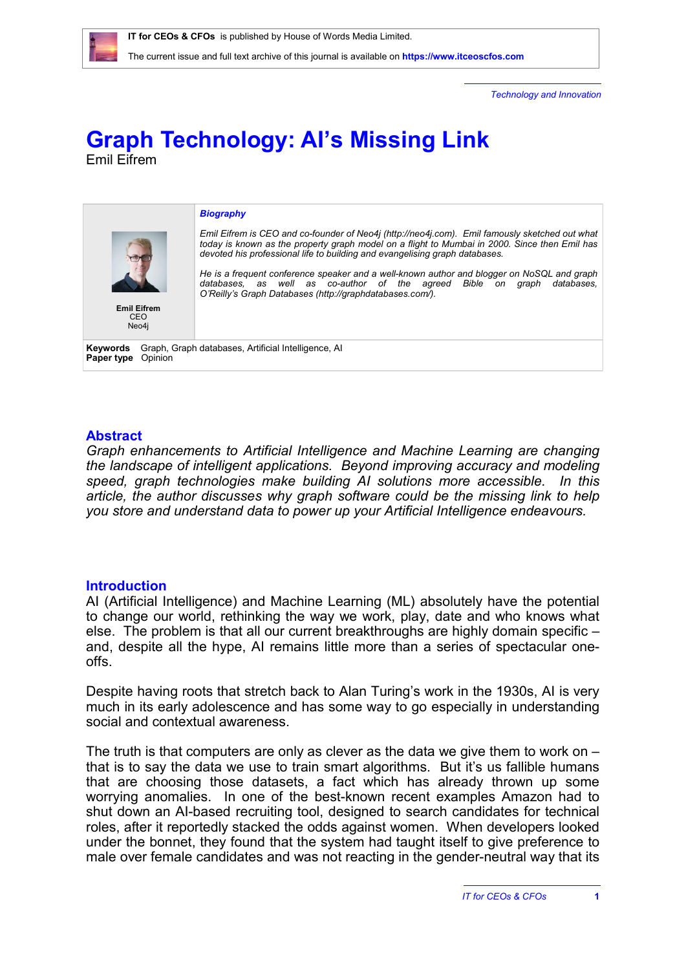*Technology and Innovation*

# **Graph Technology: AI's Missing Link** Emil Eifrem



# **Abstract**

*Graph enhancements to Artificial Intelligence and Machine Learning are changing the landscape of intelligent applications. Beyond improving accuracy and modeling speed, graph technologies make building AI solutions more accessible. In this article, the author discusses why graph software could be the missing link to help you store and understand data to power up your Artificial Intelligence endeavours.*

# **Introduction**

AI (Artificial Intelligence) and Machine Learning (ML) absolutely have the potential to change our world, rethinking the way we work, play, date and who knows what else. The problem is that all our current breakthroughs are highly domain specific – and, despite all the hype, AI remains little more than a series of spectacular oneoffs.

Despite having roots that stretch back to Alan Turing's work in the 1930s, AI is very much in its early adolescence and has some way to go especially in understanding social and contextual awareness.

The truth is that computers are only as clever as the data we give them to work on  $$ that is to say the data we use to train smart algorithms. But it's us fallible humans that are choosing those datasets, a fact which has already thrown up some worrying anomalies. In one of the best-known recent examples Amazon had to shut down an AI-based recruiting tool, designed to search candidates for technical roles, after it reportedly stacked the odds against women. When developers looked under the bonnet, they found that the system had taught itself to give preference to male over female candidates and was not reacting in the gender-neutral way that its